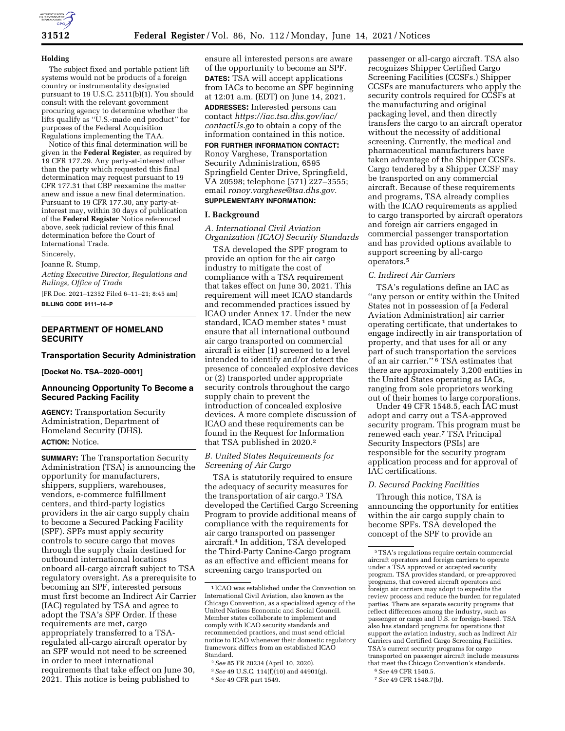

#### **Holding**

The subject fixed and portable patient lift systems would not be products of a foreign country or instrumentality designated pursuant to 19 U.S.C. 2511(b)(1). You should consult with the relevant government procuring agency to determine whether the lifts qualify as ''U.S.-made end product'' for purposes of the Federal Acquisition Regulations implementing the TAA.

Notice of this final determination will be given in the **Federal Register**, as required by 19 CFR 177.29. Any party-at-interest other than the party which requested this final determination may request pursuant to 19 CFR 177.31 that CBP reexamine the matter anew and issue a new final determination. Pursuant to 19 CFR 177.30, any party-atinterest may, within 30 days of publication of the **Federal Register** Notice referenced above, seek judicial review of this final determination before the Court of International Trade.

Sincerely,

Joanne R. Stump,

*Acting Executive Director, Regulations and Rulings, Office of Trade* 

[FR Doc. 2021–12352 Filed 6–11–21; 8:45 am] **BILLING CODE 9111–14–P** 

# **DEPARTMENT OF HOMELAND SECURITY**

#### **Transportation Security Administration**

#### **[Docket No. TSA–2020–0001]**

## **Announcing Opportunity To Become a Secured Packing Facility**

**AGENCY:** Transportation Security Administration, Department of Homeland Security (DHS). **ACTION:** Notice.

**SUMMARY:** The Transportation Security Administration (TSA) is announcing the opportunity for manufacturers, shippers, suppliers, warehouses, vendors, e-commerce fulfillment centers, and third-party logistics providers in the air cargo supply chain to become a Secured Packing Facility (SPF). SPFs must apply security controls to secure cargo that moves through the supply chain destined for outbound international locations onboard all-cargo aircraft subject to TSA regulatory oversight. As a prerequisite to becoming an SPF, interested persons must first become an Indirect Air Carrier (IAC) regulated by TSA and agree to adopt the TSA's SPF Order. If these requirements are met, cargo appropriately transferred to a TSAregulated all-cargo aircraft operator by an SPF would not need to be screened in order to meet international requirements that take effect on June 30, 2021. This notice is being published to

ensure all interested persons are aware of the opportunity to become an SPF. **DATES:** TSA will accept applications from IACs to become an SPF beginning at 12:01 a.m. (EDT) on June 14, 2021. **ADDRESSES:** Interested persons can contact *[https://iac.tsa.dhs.gov/iac/](https://iac.tsa.dhs.gov/iac/contactUs.go) [contactUs.go](https://iac.tsa.dhs.gov/iac/contactUs.go)* to obtain a copy of the information contained in this notice.

# **FOR FURTHER INFORMATION CONTACT:**

Ronoy Varghese, Transportation Security Administration, 6595 Springfield Center Drive, Springfield, VA 20598; telephone (571) 227–3555; email *[ronoy.varghese@tsa.dhs.gov.](mailto:ronoy.varghese@tsa.dhs.gov)*  **SUPPLEMENTARY INFORMATION:** 

#### **I. Background**

*A. International Civil Aviation Organization (ICAO) Security Standards* 

TSA developed the SPF program to provide an option for the air cargo industry to mitigate the cost of compliance with a TSA requirement that takes effect on June 30, 2021. This requirement will meet ICAO standards and recommended practices issued by ICAO under Annex 17. Under the new standard, ICAO member states <sup>1</sup> must ensure that all international outbound air cargo transported on commercial aircraft is either (1) screened to a level intended to identify and/or detect the presence of concealed explosive devices or (2) transported under appropriate security controls throughout the cargo supply chain to prevent the introduction of concealed explosive devices. A more complete discussion of ICAO and these requirements can be found in the Request for Information that TSA published in 2020.2

### *B. United States Requirements for Screening of Air Cargo*

TSA is statutorily required to ensure the adequacy of security measures for the transportation of air cargo.3 TSA developed the Certified Cargo Screening Program to provide additional means of compliance with the requirements for air cargo transported on passenger aircraft.4 In addition, TSA developed the Third-Party Canine-Cargo program as an effective and efficient means for screening cargo transported on

passenger or all-cargo aircraft. TSA also recognizes Shipper Certified Cargo Screening Facilities (CCSFs.) Shipper CCSFs are manufacturers who apply the security controls required for CCSFs at the manufacturing and original packaging level, and then directly transfers the cargo to an aircraft operator without the necessity of additional screening. Currently, the medical and pharmaceutical manufacturers have taken advantage of the Shipper CCSFs. Cargo tendered by a Shipper CCSF may be transported on any commercial aircraft. Because of these requirements and programs, TSA already complies with the ICAO requirements as applied to cargo transported by aircraft operators and foreign air carriers engaged in commercial passenger transportation and has provided options available to support screening by all-cargo operators.5

#### *C. Indirect Air Carriers*

TSA's regulations define an IAC as ''any person or entity within the United States not in possession of [a Federal Aviation Administration] air carrier operating certificate, that undertakes to engage indirectly in air transportation of property, and that uses for all or any part of such transportation the services of an air carrier.'' 6 TSA estimates that there are approximately 3,200 entities in the United States operating as IACs, ranging from sole proprietors working out of their homes to large corporations.

Under 49 CFR 1548.5, each IAC must adopt and carry out a TSA-approved security program. This program must be renewed each year.7 TSA Principal Security Inspectors (PSIs) are responsible for the security program application process and for approval of IAC certifications.

#### *D. Secured Packing Facilities*

Through this notice, TSA is announcing the opportunity for entities within the air cargo supply chain to become SPFs. TSA developed the concept of the SPF to provide an

7*See* 49 CFR 1548.7(b).

<sup>1</sup> ICAO was established under the Convention on International Civil Aviation, also known as the Chicago Convention, as a specialized agency of the United Nations Economic and Social Council. Member states collaborate to implement and comply with ICAO security standards and recommended practices, and must send official notice to ICAO whenever their domestic regulatory framework differs from an established ICAO Standard.

<sup>2</sup>*See* 85 FR 20234 (April 10, 2020).

<sup>3</sup>*See* 49 U.S.C. 114(f)(10) and 44901(g). 4*See* 49 CFR part 1549.

<sup>5</sup>TSA's regulations require certain commercial aircraft operators and foreign carriers to operate under a TSA approved or accepted security program. TSA provides standard, or pre-approved programs, that covered aircraft operators and foreign air carriers may adopt to expedite the review process and reduce the burden for regulated parties. There are separate security programs that reflect differences among the industry, such as passenger or cargo and U.S. or foreign-based. TSA also has standard programs for operations that support the aviation industry, such as Indirect Air Carriers and Certified Cargo Screening Facilities. TSA's current security programs for cargo transported on passenger aircraft include measures that meet the Chicago Convention's standards.

<sup>6</sup>*See* 49 CFR 1540.5.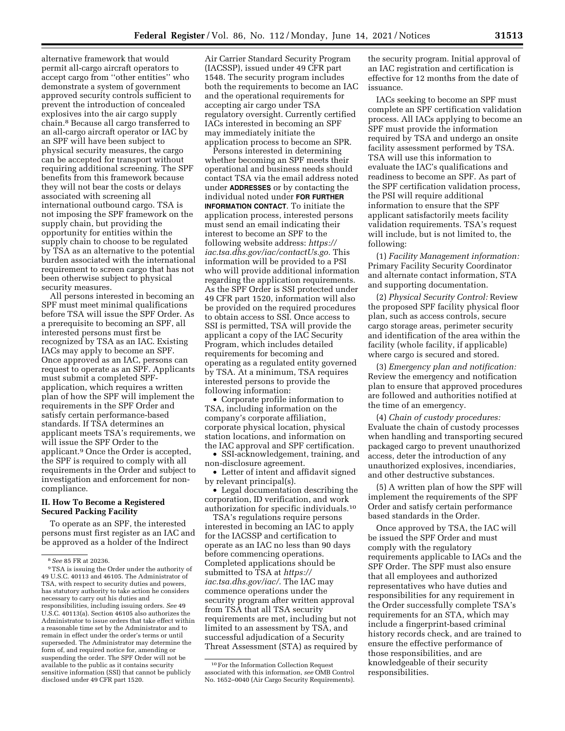alternative framework that would permit all-cargo aircraft operators to accept cargo from ''other entities'' who demonstrate a system of government approved security controls sufficient to prevent the introduction of concealed explosives into the air cargo supply chain.8 Because all cargo transferred to an all-cargo aircraft operator or IAC by an SPF will have been subject to physical security measures, the cargo can be accepted for transport without requiring additional screening. The SPF benefits from this framework because they will not bear the costs or delays associated with screening all international outbound cargo. TSA is not imposing the SPF framework on the supply chain, but providing the opportunity for entities within the supply chain to choose to be regulated by TSA as an alternative to the potential burden associated with the international requirement to screen cargo that has not been otherwise subject to physical security measures.

All persons interested in becoming an SPF must meet minimal qualifications before TSA will issue the SPF Order. As a prerequisite to becoming an SPF, all interested persons must first be recognized by TSA as an IAC. Existing IACs may apply to become an SPF. Once approved as an IAC, persons can request to operate as an SPF. Applicants must submit a completed SPFapplication, which requires a written plan of how the SPF will implement the requirements in the SPF Order and satisfy certain performance-based standards. If TSA determines an applicant meets TSA's requirements, we will issue the SPF Order to the applicant.9 Once the Order is accepted, the SPF is required to comply with all requirements in the Order and subject to investigation and enforcement for noncompliance.

# **II. How To Become a Registered Secured Packing Facility**

To operate as an SPF, the interested persons must first register as an IAC and be approved as a holder of the Indirect

Air Carrier Standard Security Program (IACSSP), issued under 49 CFR part 1548. The security program includes both the requirements to become an IAC and the operational requirements for accepting air cargo under TSA regulatory oversight. Currently certified IACs interested in becoming an SPF may immediately initiate the application process to become an SPR.

Persons interested in determining whether becoming an SPF meets their operational and business needs should contact TSA via the email address noted under **ADDRESSES** or by contacting the individual noted under **FOR FURTHER INFORMATION CONTACT**. To initiate the application process, interested persons must send an email indicating their interest to become an SPF to the following website address: *[https://](https://iac.tsa.dhs.gov/iac/contactUs.go) [iac.tsa.dhs.gov/iac/contactUs.go.](https://iac.tsa.dhs.gov/iac/contactUs.go)* This information will be provided to a PSI who will provide additional information regarding the application requirements. As the SPF Order is SSI protected under 49 CFR part 1520, information will also be provided on the required procedures to obtain access to SSI. Once access to SSI is permitted, TSA will provide the applicant a copy of the IAC Security Program, which includes detailed requirements for becoming and operating as a regulated entity governed by TSA. At a minimum, TSA requires interested persons to provide the following information:

• Corporate profile information to TSA, including information on the company's corporate affiliation, corporate physical location, physical station locations, and information on the IAC approval and SPF certification.

• SSI-acknowledgement, training, and non-disclosure agreement.

• Letter of intent and affidavit signed by relevant principal(s).

• Legal documentation describing the corporation, ID verification, and work authorization for specific individuals.10

TSA's regulations require persons interested in becoming an IAC to apply for the IACSSP and certification to operate as an IAC no less than 90 days before commencing operations. Completed applications should be submitted to TSA at *[https://](https://iac.tsa.dhs.gov/iac/) [iac.tsa.dhs.gov/iac/.](https://iac.tsa.dhs.gov/iac/)* The IAC may commence operations under the security program after written approval from TSA that all TSA security requirements are met, including but not limited to an assessment by TSA, and successful adjudication of a Security Threat Assessment (STA) as required by

the security program. Initial approval of an IAC registration and certification is effective for 12 months from the date of issuance.

IACs seeking to become an SPF must complete an SPF certification validation process. All IACs applying to become an SPF must provide the information required by TSA and undergo an onsite facility assessment performed by TSA. TSA will use this information to evaluate the IAC's qualifications and readiness to become an SPF. As part of the SPF certification validation process, the PSI will require additional information to ensure that the SPF applicant satisfactorily meets facility validation requirements. TSA's request will include, but is not limited to, the following:

(1) *Facility Management information:*  Primary Facility Security Coordinator and alternate contact information, STA and supporting documentation.

(2) *Physical Security Control:* Review the proposed SPF facility physical floor plan, such as access controls, secure cargo storage areas, perimeter security and identification of the area within the facility (whole facility, if applicable) where cargo is secured and stored.

(3) *Emergency plan and notification:*  Review the emergency and notification plan to ensure that approved procedures are followed and authorities notified at the time of an emergency.

(4) *Chain of custody procedures:*  Evaluate the chain of custody processes when handling and transporting secured packaged cargo to prevent unauthorized access, deter the introduction of any unauthorized explosives, incendiaries, and other destructive substances.

(5) A written plan of how the SPF will implement the requirements of the SPF Order and satisfy certain performance based standards in the Order.

Once approved by TSA, the IAC will be issued the SPF Order and must comply with the regulatory requirements applicable to IACs and the SPF Order. The SPF must also ensure that all employees and authorized representatives who have duties and responsibilities for any requirement in the Order successfully complete TSA's requirements for an STA, which may include a fingerprint-based criminal history records check, and are trained to ensure the effective performance of those responsibilities, and are knowledgeable of their security responsibilities.

<sup>8</sup>*See* 85 FR at 20236.

<sup>9</sup>TSA is issuing the Order under the authority of 49 U.S.C. 40113 and 46105. The Administrator of TSA, with respect to security duties and powers, has statutory authority to take action he considers necessary to carry out his duties and responsibilities, including issuing orders. *See* 49 U.S.C. 40113(a). Section 46105 also authorizes the Administrator to issue orders that take effect within a reasonable time set by the Administrator and to remain in effect under the order's terms or until superseded. The Administrator may determine the form of, and required notice for, amending or suspending the order. The SPF Order will not be available to the public as it contains security sensitive information (SSI) that cannot be publicly disclosed under 49 CFR part 1520.

<sup>10</sup>For the Information Collection Request associated with this information, *see* OMB Control No. 1652–0040 (Air Cargo Security Requirements).